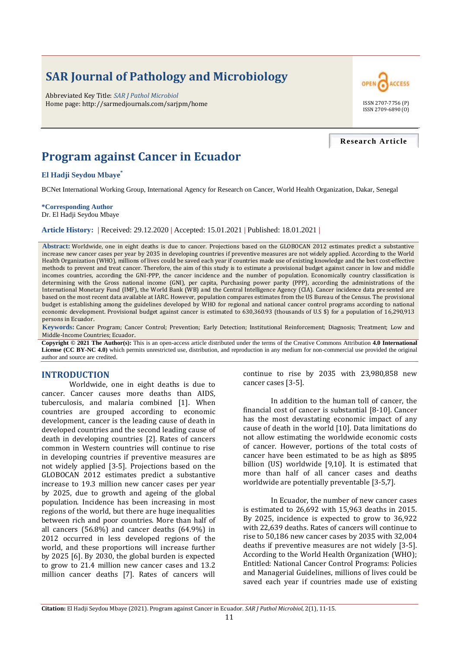# **SAR Journal of Pathology and Microbiology**

Abbreviated Key Title: *SAR J Pathol Microbiol* Home page: http://sarmedjournals.com/sarjpm/home ISSN 2707-7756 (P)



#### **Research Article**

## **Program against Cancer in Ecuador**

**El Hadji Seydou Mbaye\***

BCNet International Working Group, International Agency for Research on Cancer, World Health Organization, Dakar, Senegal

**\*Corresponding Author** Dr. El Hadji Seydou Mbaye

**Article History: |** Received: 29.12.2020 **|** Accepted: 15.01.2021 **|** Published: 18.01.2021 **|**

**Abstract:** Worldwide, one in eight deaths is due to cancer. Projections based on the GLOBOCAN 2012 estimates predict a substantive increase new cancer cases per year by 2035 in developing countries if preventive measures are not widely applied. According to the World Health Organization (WHO), millions of lives could be saved each year if countries made use of existing knowledge and the best cost-effective methods to prevent and treat cancer. Therefore, the aim of this study is to estimate a provisional budget against cancer in low and middle incomes countries, according the GNI-PPP, the cancer incidence and the number of population. Economically country classification is determining with the Gross national income (GNI), per capita, Purchasing power parity (PPP), according the administrations of the International Monetary Fund (IMF), the World Bank (WB) and the Central Intelligence Agency (CIA). Cancer incidence data presented are based on the most recent data available at IARC. However, population compares estimates from the US Bureau of the Census. The provisional budget is establishing among the guidelines developed by WHO for regional and national cancer control programs according to national economic development. Provisional budget against cancer is estimated to 630,360.93 (thousands of U.S \$) for a population of 16,290,913 persons in Ecuador.

**Keywords:** Cancer Program; Cancer Control; Prevention; Early Detection; Institutional Reinforcement; Diagnosis; Treatment; Low and Middle-Income Countries; Ecuador.

**Copyright © 2021 The Author(s):** This is an open-access article distributed under the terms of the Creative Commons Attribution **4.0 International License (CC BY-NC 4.0)** which permits unrestricted use, distribution, and reproduction in any medium for non-commercial use provided the original author and source are credited.

#### **INTRODUCTION**

Worldwide, one in eight deaths is due to cancer. Cancer causes more deaths than AIDS, tuberculosis, and malaria combined [1]. When countries are grouped according to economic development, cancer is the leading cause of death in developed countries and the second leading cause of death in developing countries [2]. Rates of cancers common in Western countries will continue to rise in developing countries if preventive measures are not widely applied [3-5]. Projections based on the GLOBOCAN 2012 estimates predict a substantive increase to 19.3 million new cancer cases per year by 2025, due to growth and ageing of the global population. Incidence has been increasing in most regions of the world, but there are huge inequalities between rich and poor countries. More than half of all cancers (56.8%) and cancer deaths (64.9%) in 2012 occurred in less developed regions of the world, and these proportions will increase further by 2025 [6]. By 2030, the global burden is expected to grow to 21.4 million new cancer cases and 13.2 million cancer deaths [7]. Rates of cancers will

continue to rise by 2035 with 23,980,858 new cancer cases [3-5].

In addition to the human toll of cancer, the financial cost of cancer is substantial [8-10]. Cancer has the most devastating economic impact of any cause of death in the world [10]. Data limitations do not allow estimating the worldwide economic costs of cancer. However, portions of the total costs of cancer have been estimated to be as high as \$895 billion (US) worldwide [9,10]. It is estimated that more than half of all cancer cases and deaths worldwide are potentially preventable [3-5,7].

In Ecuador, the number of new cancer cases is estimated to 26,692 with 15,963 deaths in 2015. By 2025, incidence is expected to grow to 36,922 with 22,639 deaths. Rates of cancers will continue to rise to 50,186 new cancer cases by 2035 with 32,004 deaths if preventive measures are not widely [3-5]. According to the World Health Organization (WHO); Entitled: National Cancer Control Programs: Policies and Managerial Guidelines, millions of lives could be saved each year if countries made use of existing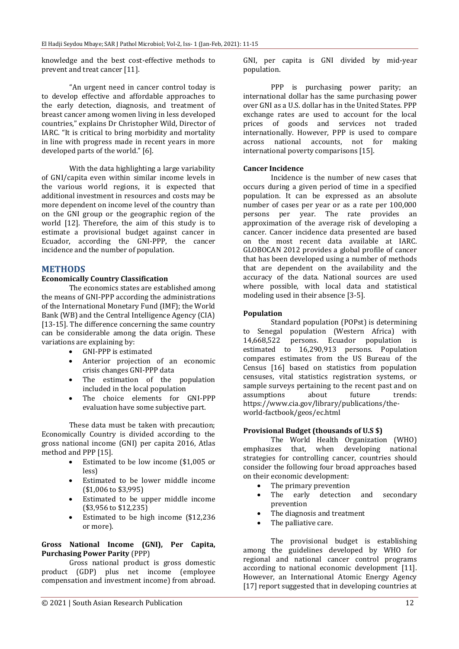knowledge and the best cost-effective methods to prevent and treat cancer [11].

"An urgent need in cancer control today is to develop effective and affordable approaches to the early detection, diagnosis, and treatment of breast cancer among women living in less developed countries," explains Dr Christopher Wild, Director of IARC. "It is critical to bring morbidity and mortality in line with progress made in recent years in more developed parts of the world." [6].

With the data highlighting a large variability of GNI/capita even within similar income levels in the various world regions, it is expected that additional investment in resources and costs may be more dependent on income level of the country than on the GNI group or the geographic region of the world [12]. Therefore, the aim of this study is to estimate a provisional budget against cancer in Ecuador, according the GNI-PPP, the cancer incidence and the number of population.

#### **METHODS**

#### **Economically Country Classification**

The economics states are established among the means of GNI-PPP according the administrations of the International Monetary Fund (IMF); the World Bank (WB) and the Central Intelligence Agency (CIA) [13-15]. The difference concerning the same country can be considerable among the data origin. These variations are explaining by:

- GNI-PPP is estimated
- Anterior projection of an economic crisis changes GNI-PPP data
- The estimation of the population included in the local population
- The choice elements for GNI-PPP evaluation have some subjective part.

These data must be taken with precaution; Economically Country is divided according to the gross national income (GNI) per capita 2016, Atlas method and PPP [15].

- Estimated to be low income (\$1,005 or less)
- Estimated to be lower middle income (\$1,006 to \$3,995)
- Estimated to be upper middle income (\$3,956 to \$12,235)
- Estimated to be high income (\$12,236 or more).

#### **Gross National Income (GNI), Per Capita, Purchasing Power Parity** (PPP)

Gross national product is gross domestic product (GDP) plus net income (employee compensation and investment income) from abroad. GNI, per capita is GNI divided by mid-year population.

PPP is purchasing power parity; an international dollar has the same purchasing power over GNI as a U.S. dollar has in the United States. PPP exchange rates are used to account for the local prices of goods and services not traded internationally. However, PPP is used to compare across national accounts, not for making international poverty comparisons [15].

#### **Cancer Incidence**

Incidence is the number of new cases that occurs during a given period of time in a specified population. It can be expressed as an absolute number of cases per year or as a rate per 100,000 persons per year. The rate provides an approximation of the average risk of developing a cancer. Cancer incidence data presented are based on the most recent data available at IARC. GLOBOCAN 2012 provides a global profile of cancer that has been developed using a number of methods that are dependent on the availability and the accuracy of the data. National sources are used where possible, with local data and statistical modeling used in their absence [3-5].

#### **Population**

Standard population (POPst) is determining to Senegal population (Western Africa) with 14,668,522 persons. Ecuador population is estimated to 16,290,913 persons. Population compares estimates from the US Bureau of the Census [16] based on statistics from population censuses, vital statistics registration systems, or sample surveys pertaining to the recent past and on assumptions about future trends: https://www.cia.gov/library/publications/theworld-factbook/geos/ec.html

#### **Provisional Budget (thousands of U.S \$)**

The World Health Organization (WHO) emphasizes that, when developing national strategies for controlling cancer, countries should consider the following four broad approaches based on their economic development:

- The primary prevention
- The early detection and secondary prevention
- The diagnosis and treatment
- The palliative care.

The provisional budget is establishing among the guidelines developed by WHO for regional and national cancer control programs according to national economic development [11]. However, an International Atomic Energy Agency [17] report suggested that in developing countries at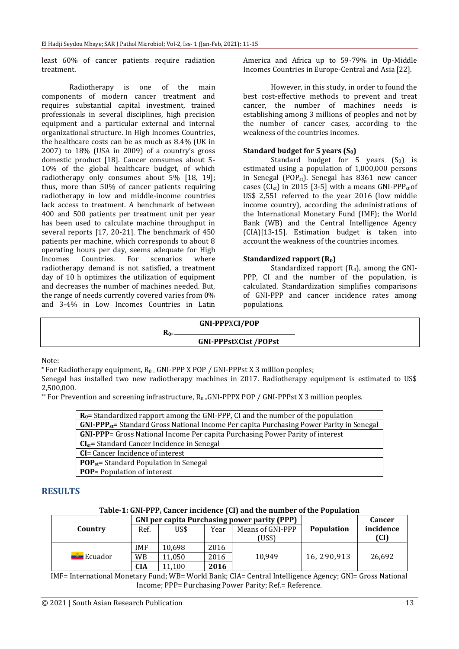least 60% of cancer patients require radiation treatment.

Radiotherapy is one of the main components of modern cancer treatment and requires substantial capital investment, trained professionals in several disciplines, high precision equipment and a particular external and internal organizational structure. In High Incomes Countries, the healthcare costs can be as much as 8.4% (UK in 2007) to 18% (USA in 2009) of a country's gross domestic product [18]. Cancer consumes about 5- 10% of the global healthcare budget, of which radiotherapy only consumes about 5% [18, 19]; thus, more than 50% of cancer patients requiring radiotherapy in low and middle-income countries lack access to treatment. A benchmark of between 400 and 500 patients per treatment unit per year has been used to calculate machine throughput in several reports [17, 20-21]. The benchmark of 450 patients per machine, which corresponds to about 8 operating hours per day, seems adequate for High Incomes Countries. For scenarios where radiotherapy demand is not satisfied, a treatment day of 10 h optimizes the utilization of equipment and decreases the number of machines needed. But, the range of needs currently covered varies from 0% and 3-4% in Low Incomes Countries in Latin America and Africa up to 59-79% in Up-Middle Incomes Countries in Europe-Central and Asia [22].

However, in this study, in order to found the best cost-effective methods to prevent and treat cancer, the number of machines needs is establishing among 3 millions of peoples and not by the number of cancer cases, according to the weakness of the countries incomes.

#### **Standard budget for 5 years (S0)**

Standard budget for  $5$  years  $(S_0)$  is estimated using a population of 1,000,000 persons in Senegal (POP<sub>st</sub>). Senegal has  $8361$  new cancer cases (CI<sub>st</sub>) in 2015 [3-5] with a means GNI-PPP<sub>st</sub> of US\$ 2,551 referred to the year 2016 (low middle income country), according the administrations of the International Monetary Fund (IMF); the World Bank (WB) and the Central Intelligence Agency (CIA)[13-15]. Estimation budget is taken into account the weakness of the countries incomes.

#### **Standardized rapport (R0)**

Standardized rapport  $(R_0)$ , among the GNI-PPP, CI and the number of the population, is calculated. Standardization simplifies comparisons of GNI-PPP and cancer incidence rates among populations.

| <b>GNI-PPPXCI/POP</b>       |  |
|-----------------------------|--|
| <b>GNI-PPPstXCIst/POPst</b> |  |

Note:

**\*** For Radiotherapy equipment, R0 = GNI-PPP X POP / GNI-PPPst X 3 million peoples;

Senegal has installed two new radiotherapy machines in 2017. Radiotherapy equipment is estimated to US\$ 2,500,000.

\*\* For Prevention and screening infrastructure,  $R_0 = GNI-PPPX POP / GNI-PPPst X 3 million peoples.$ 

| $R_0$ = Standardized rapport among the GNI-PPP, CI and the number of the population         |  |  |  |  |
|---------------------------------------------------------------------------------------------|--|--|--|--|
| $GNI-PPP_{st}$ Standard Gross National Income Per capita Purchasing Power Parity in Senegal |  |  |  |  |
| <b>GNI-PPP</b> = Gross National Income Per capita Purchasing Power Parity of interest       |  |  |  |  |
| $CIst$ = Standard Cancer Incidence in Senegal                                               |  |  |  |  |
| <b>CI</b> = Cancer Incidence of interest                                                    |  |  |  |  |
| $POPst$ = Standard Population in Senegal                                                    |  |  |  |  |
| <b>POP</b> = Population of interest                                                         |  |  |  |  |

#### **RESULTS**

#### **Table-1: GNI-PPP, Cancer incidence (CI) and the number of the Population**

|         | <b>GNI per capita Purchasing power parity (PPP)</b> |        |      |                  |                   | Cancer    |
|---------|-----------------------------------------------------|--------|------|------------------|-------------------|-----------|
| Country | Ref.                                                | US\$   | Year | Means of GNI-PPP | <b>Population</b> | incidence |
|         |                                                     |        |      | (US\$)           |                   | (CI)      |
| Ecuador | IMF                                                 | 10.698 | 2016 |                  |                   | 26.692    |
|         | <b>WB</b>                                           | 11.050 | 2016 | 10.949           | 16.290.913        |           |
|         | <b>CIA</b>                                          | 11.100 | 2016 |                  |                   |           |

IMF= International Monetary Fund; WB= World Bank; CIA= Central Intelligence Agency; GNI= Gross National Income; PPP= Purchasing Power Parity; Ref.= Reference.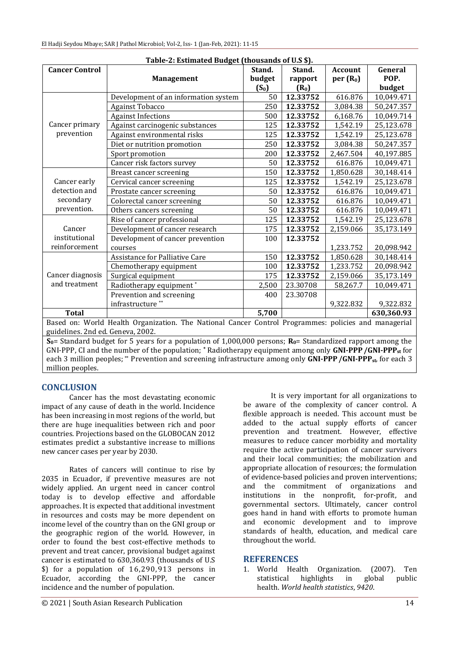| Table-2: Estimated Budget (thousands of U.S \$).                                                                            |                                      |         |          |                      |            |  |  |
|-----------------------------------------------------------------------------------------------------------------------------|--------------------------------------|---------|----------|----------------------|------------|--|--|
| <b>Cancer Control</b>                                                                                                       |                                      | Stand.  | Stand.   | <b>Account</b>       | General    |  |  |
|                                                                                                                             | <b>Management</b>                    | budget  | rapport  | per(R <sub>0</sub> ) | POP.       |  |  |
|                                                                                                                             |                                      | $(S_0)$ | $(R_0)$  |                      | budget     |  |  |
|                                                                                                                             | Development of an information system | 50      | 12.33752 | 616.876              | 10,049.471 |  |  |
|                                                                                                                             | <b>Against Tobacco</b>               | 250     | 12.33752 | 3,084.38             | 50,247.357 |  |  |
|                                                                                                                             | <b>Against Infections</b>            | 500     | 12.33752 | 6,168.76             | 10,049.714 |  |  |
| Cancer primary                                                                                                              | Against carcinogenic substances      | 125     | 12.33752 | 1,542.19             | 25,123.678 |  |  |
| prevention                                                                                                                  | Against environmental risks          | 125     | 12.33752 | 1,542.19             | 25,123.678 |  |  |
|                                                                                                                             | Diet or nutrition promotion          | 250     | 12.33752 | 3,084.38             | 50,247.357 |  |  |
|                                                                                                                             | Sport promotion                      | 200     | 12.33752 | 2,467.504            | 40,197.885 |  |  |
|                                                                                                                             | Cancer risk factors survey           | 50      | 12.33752 | 616.876              | 10,049.471 |  |  |
| Cancer early                                                                                                                | Breast cancer screening              | 150     | 12.33752 | 1,850.628            | 30,148.414 |  |  |
|                                                                                                                             | Cervical cancer screening            | 125     | 12.33752 | 1,542.19             | 25,123.678 |  |  |
| detection and                                                                                                               | Prostate cancer screening            | 50      | 12.33752 | 616.876              | 10,049.471 |  |  |
| secondary                                                                                                                   | Colorectal cancer screening          | 50      | 12.33752 | 616.876              | 10,049.471 |  |  |
| prevention.                                                                                                                 | Others cancers screening             | 50      | 12.33752 | 616.876              | 10,049.471 |  |  |
| Cancer                                                                                                                      | Rise of cancer professional          | 125     | 12.33752 | 1,542.19             | 25,123.678 |  |  |
|                                                                                                                             | Development of cancer research       | 175     | 12.33752 | 2,159.066            | 35,173.149 |  |  |
| institutional                                                                                                               | Development of cancer prevention     | 100     | 12.33752 |                      |            |  |  |
| reinforcement                                                                                                               | courses                              |         |          | 1,233.752            | 20,098.942 |  |  |
|                                                                                                                             | Assistance for Palliative Care       | 150     | 12.33752 | 1,850.628            | 30,148.414 |  |  |
|                                                                                                                             | Chemotherapy equipment               | 100     | 12.33752 | 1,233.752            | 20,098.942 |  |  |
| Cancer diagnosis                                                                                                            | Surgical equipment                   | 175     | 12.33752 | 2,159.066            | 35,173.149 |  |  |
| and treatment                                                                                                               | Radiotherapy equipment*              | 2,500   | 23.30708 | 58,267.7             | 10,049.471 |  |  |
|                                                                                                                             | Prevention and screening             | 400     | 23.30708 |                      |            |  |  |
|                                                                                                                             | infrastructure <sup>**</sup>         |         |          | 9,322.832            | 9,322.832  |  |  |
| <b>Total</b>                                                                                                                |                                      | 5,700   |          |                      | 630,360.93 |  |  |
| Based on: World Health Organization. The National Cancer Control Programmes: policies and managerial                        |                                      |         |          |                      |            |  |  |
| guidelines. 2nd ed. Geneva, 2002.                                                                                           |                                      |         |          |                      |            |  |  |
| $S_{\alpha}$ Standard budget for 5 years for a nopulation of 1,000,000 persons: $R_{\alpha}$ Standardized rapport among the |                                      |         |          |                      |            |  |  |

**S0**= Standard budget for 5 years for a population of 1,000,000 persons; **R0**= Standardized rapport among the GNI-PPP, CI and the number of the population; **\*** Radiotherapy equipment among only **GNI-PPP/GNI-PPPst** for each 3 million peoples; \*\* Prevention and screening infrastructure among only **GNI-PPP/GNI-PPPst**, for each 3 million peoples.

## **CONCLUSION**

Cancer has the most devastating economic impact of any cause of death in the world. Incidence has been increasing in most regions of the world, but there are huge inequalities between rich and poor countries. Projections based on the GLOBOCAN 2012 estimates predict a substantive increase to millions new cancer cases per year by 2030.

Rates of cancers will continue to rise by 2035 in Ecuador, if preventive measures are not widely applied. An urgent need in cancer control today is to develop effective and affordable approaches. It is expected that additional investment in resources and costs may be more dependent on income level of the country than on the GNI group or the geographic region of the world. However, in order to found the best cost-effective methods to prevent and treat cancer, provisional budget against cancer is estimated to 630,360.93 (thousands of U.S \$) for a population of 16,290,913 persons in Ecuador, according the GNI-PPP, the cancer incidence and the number of population.

It is very important for all organizations to be aware of the complexity of cancer control. A flexible approach is needed. This account must be added to the actual supply efforts of cancer prevention and treatment. However, effective measures to reduce cancer morbidity and mortality require the active participation of cancer survivors and their local communities; the mobilization and appropriate allocation of resources; the formulation of evidence-based policies and proven interventions; and the commitment of organizations and institutions in the nonprofit, for-profit, and governmental sectors. Ultimately, cancer control goes hand in hand with efforts to promote human and economic development and to improve standards of health, education, and medical care throughout the world.

### **REFERENCES**

1. World Health Organization. (2007). Ten statistical highlights in global public health. *World health statistics*, *9420*.